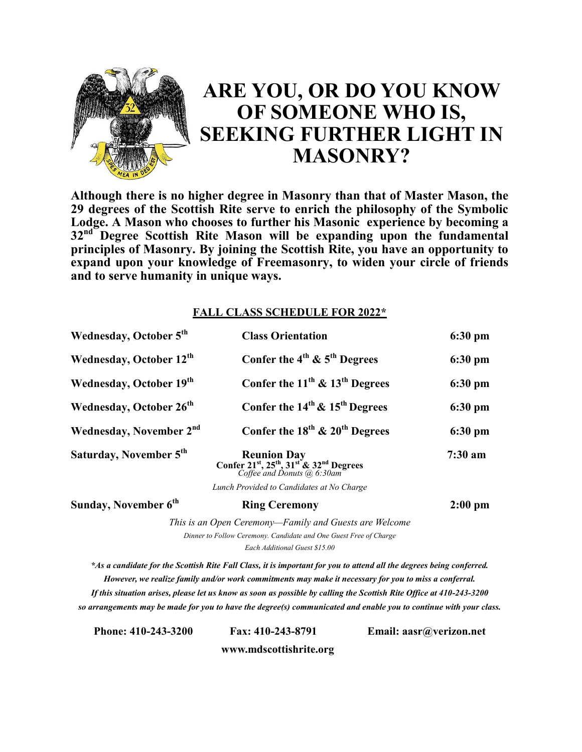

## **ARE YOU, OR DO YOU KNOW OF SOMEONE WHO IS, SEEKING FURTHER LIGHT IN MASONRY?**

**Although there is no higher degree in Masonry than that of Master Mason, the 29 degrees of the Scottish Rite serve to enrich the philosophy of the Symbolic Lodge. A Mason who chooses to further his Masonic experience by becoming a 32nd Degree Scottish Rite Mason will be expanding upon the fundamental principles of Masonry. By joining the Scottish Rite, you have an opportunity to expand upon your knowledge of Freemasonry, to widen your circle of friends and to serve humanity in unique ways.**

## **FALL CLASS SCHEDULE FOR 2022\***

| Wednesday, October 5 <sup>th</sup>  | <b>Class Orientation</b>                                                                                                                     | $6:30 \text{ pm}$      |
|-------------------------------------|----------------------------------------------------------------------------------------------------------------------------------------------|------------------------|
| Wednesday, October 12 <sup>th</sup> | Confer the $4^{th}$ & $5^{th}$ Degrees                                                                                                       | $6:30$ pm              |
| Wednesday, October 19th             | Confer the $11^{th}$ & $13^{th}$ Degrees                                                                                                     | $6:30 \text{ pm}$      |
| Wednesday, October 26 <sup>th</sup> | Confer the $14^{th}$ & $15^{th}$ Degrees                                                                                                     | $6:30$ pm<br>$6:30$ pm |
| Wednesday, November 2 <sup>nd</sup> | Confer the $18^{th}$ & $20^{th}$ Degrees                                                                                                     |                        |
| Saturday, November 5th              | <b>Reunion Day</b><br>Confer 21 <sup>st</sup> , 25 <sup>th</sup> , 31 <sup>st</sup> & 32 <sup>nd</sup> Degrees<br>Coffee and Donuts @ 6:30am | $7:30$ am              |
|                                     | Lunch Provided to Candidates at No Charge                                                                                                    |                        |
| Sunday, November 6 <sup>th</sup>    | <b>Ring Ceremony</b>                                                                                                                         | $2:00$ pm              |
|                                     | This is an Open Ceremony—Family and Guests are Welcome                                                                                       |                        |
|                                     | Dinner to Follow Ceremony. Candidate and One Guest Free of Charge                                                                            |                        |
|                                     | Each Additional Guest \$15.00                                                                                                                |                        |

*\*As a candidate for the Scottish Rite Fall Class, it is important for you to attend all the degrees being conferred. However, we realize family and/or work commitments may make it necessary for you to miss a conferral. If this situation arises, please let us know as soon as possible by calling the Scottish Rite Office at 410-243-3200 so arrangements may be made for you to have the degree(s) communicated and enable you to continue with your class.* 

**Phone: 410-243-3200 Fax: 410-243-8791 Email: aasr@verizon.net**

**www.mdscottishrite.org**